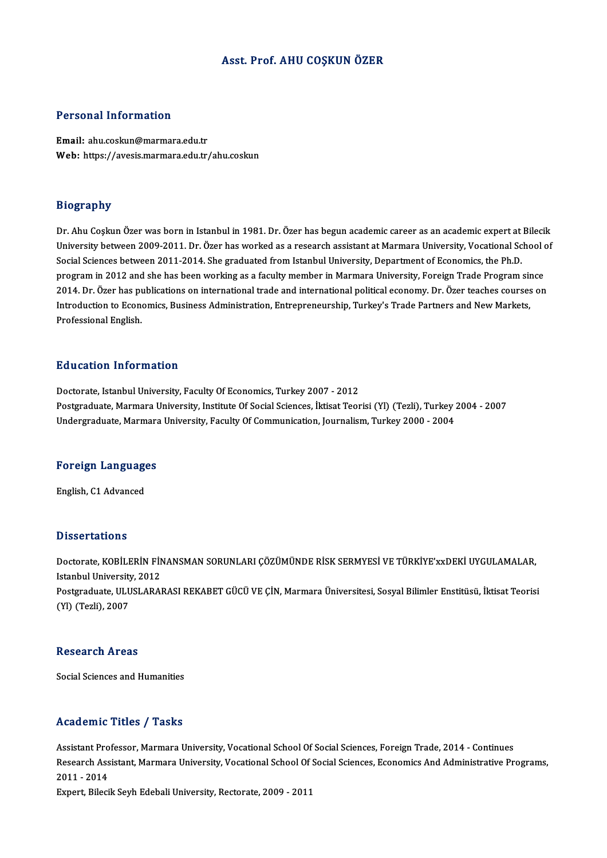### Asst. Prof. AHU COŞKUN ÖZER

### Personal Information

Email: ahu.coskun@marmara.edu.tr Web: https://avesis.marmara.edu.tr/ahu.coskun

### Biography

Bi<mark>ography</mark><br>Dr. Ahu Coşkun Özer was born in Istanbul in 1981. Dr. Özer has begun academic career as an academic expert at Bilecik<br>University hetyeen 2009-2011. Dr. Özer has verked as a researsh assistant at Marmara Univers University<br>Dr. Ahu Coşkun Özer was born in Istanbul in 1981. Dr. Özer has begun academic career as an academic expert at Bilecik<br>University between 2009-2011. Dr. Özer has worked as a research assistant at Marmara Universi University between 2009-2011. Dr. Özer has worked as a research assistant at Marmara University, Vocational School of<br>Social Sciences between 2011-2014. She graduated from Istanbul University, Department of Economics, the University between 2009-2011. Dr. Özer has worked as a research assistant at Marmara University, Vocational School of<br>Social Sciences between 2011-2014. She graduated from Istanbul University, Department of Economics, the Social Sciences between 2011-2014. She graduated from Istanbul University, Department of Economics, the Ph.D.<br>program in 2012 and she has been working as a faculty member in Marmara University, Foreign Trade Program since<br> program in 2012 and she has been working as a faculty member in Marmara University, Foreign Trade Program sir<br>2014. Dr. Özer has publications on international trade and international political economy. Dr. Özer teaches cou 2014. Dr. Özer has publications on international trade and international political economy. Dr. Özer teaches courses on<br>Introduction to Economics, Business Administration, Entrepreneurship, Turkey's Trade Partners and New

### Education Information

Doctorate, Istanbul University, Faculty Of Economics, Turkey 2007 - 2012 Postgraduate, Marmara University, Institute Of Social Sciences, İktisat Teorisi (Yl) (Tezli), Turkey 2004 - 2007 Undergraduate, Marmara University, Faculty Of Communication, Journalism, Turkey 2000 - 2004

## <sub>ondergraduate, marmara<br>Foreign Languages</sub> <mark>Foreign Language</mark><br>English, C1 Advanced

English, C1 Advanced<br>Dissertations

Dissertations<br>Doctorate, KOBİLERİN FİNANSMAN SORUNLARI ÇÖZÜMÜNDE RİSK SERMYESİ VE TÜRKİYE'xxDEKİ UYGULAMALAR,<br>Istanbul University, 2012 Busser tations<br>Doctorate, KOBİLERİN FİN<br>Istanbul University, 2012<br>Postanaduata III USLARAL Doctorate, KOBİLERİN FİNANSMAN SORUNLARI ÇÖZÜMÜNDE RİSK SERMYESİ VE TÜRKİYE'xxDEKİ UYGULAMALAR,<br>Istanbul University, 2012<br>Postgraduate, ULUSLARARASI REKABET GÜCÜ VE ÇİN, Marmara Üniversitesi, Sosyal Bilimler Enstitüsü, İkt Istanbul University, 2012<br>Postgraduate, ULUSLARARASI REKABET GÜCÜ VE ÇİN, Marmara Üniversitesi, Sosyal Bilimler Enstitüsü, İktisat Teorisi<br>(Yl) (Tezli), 2007

### **Research Areas**

Social Sciences and Humanities

### Academic Titles / Tasks

Assistant Professor, Marmara University, Vocational School Of Social Sciences, Foreign Trade, 2014 - Continues redutenric Treres", Tuenes<br>Assistant Professor, Marmara University, Vocational School Of Social Sciences, Foreign Trade, 2014 - Continues<br>Research Assistant, Marmara University, Vocational School Of Social Sciences, Econom Assistant Pro<br>Research Ass<br>2011 - 2014<br>Eunart Bilegi Research Assistant, Marmara University, Vocational School Of<br>2011 - 2014<br>Expert, Bilecik Seyh Edebali University, Rectorate, 2009 - 2011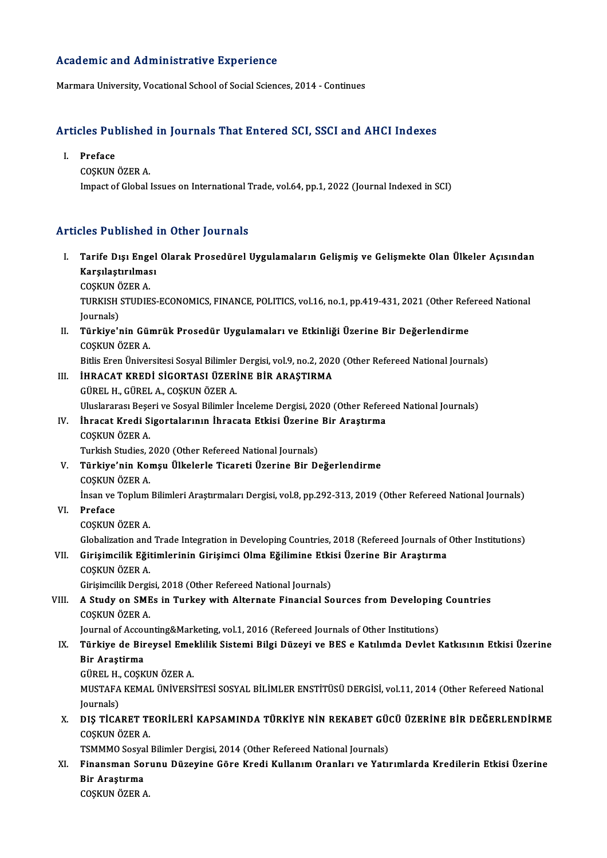### Academic and Administrative Experience

Marmara University, Vocational School of Social Sciences, 2014 - Continues

## Marmara University, vocational School of Social Sciences, 2014 - Continues<br>Articles Published in Journals That Entered SCI, SSCI and AHCI Indexes **Tricles Pul<br>I. Preface**<br>COSVIN

- 
- I. Preface<br>COSKUN ÖZER A. Impact of Global Issues on International Trade, vol.64, pp.1, 2022 (Journal Indexed in SCI)

### Articles Published in Other Journals

- rticles Published in Other Journals<br>I. Tarife Dışı Engel Olarak Prosedürel Uygulamaların Gelişmiş ve Gelişmekte Olan Ülkeler Açısından<br>Karsılastırılması *Karşılaştırması*<br>Tarife Dışı Engel<br>Karşılaştırılması<br>COSKUN ÖZEP A Tarife Dışı Enge<br>Karşılaştırılmas<br>COŞKUN ÖZER A.<br>TURKISH STUNE
	-

Karşılaştırılması<br>COŞKUN ÖZER A.<br>TURKISH STUDIES-ECONOMICS, FINANCE, POLITICS, vol.16, no.1, pp.419-431, 2021 (Other Refereed National COŞKUN Ö<br>TURKISH<br>Journals)<br>Türkiye'ı TURKISH STUDIES-ECONOMICS, FINANCE, POLITICS, vol.16, no.1, pp.419-431, 2021 (Other Referentials)<br>Journals)<br>II. Türkiye'nin Gümrük Prosedür Uygulamaları ve Etkinliği Üzerine Bir Değerlendirme<br>COSKUN ÖZER A

Journals)<br>II. Türkiye'nin Gümrük Prosedür Uygulamaları ve Etkinliği Üzerine Bir Değerlendirme<br>COSKUN ÖZER A.

Bitlis Eren Üniversitesi Sosyal Bilimler Dergisi, vol.9, no.2, 2020 (Other Refereed National Journals)

### III. İHRACAT KREDİ SİGORTASI ÜZERİNE BİR ARAŞTIRMA GÜRELH.,GÜRELA.,COŞKUNÖZERA.

Uluslararası Beşeri ve Sosyal Bilimler İnceleme Dergisi, 2020 (Other Refereed National Journals)

### IV. İhracat Kredi Sigortalarının İhracata Etkisi Üzerine Bir Araştırma COŞKUNÖZERA. İhracat Kredi Sigortalarının İhracata Etkisi Üzerine<br>COŞKUN ÖZER A.<br>Turkish Studies, 2020 (Other Refereed National Journals)<br>Türkiye'nin Komay Ülkelerle Tisarati Üzerine Bir De

V. Türkiye'nin Komşu Ülkelerle Ticareti Üzerine Bir Değerlendirme Turkish Studies, 2<br><mark>Türkiye'nin Koı</mark><br>COŞKUN ÖZER A.<br>İncan ve Tanlum Türkiye'nin Komşu Ülkelerle Ticareti Üzerine Bir Değerlendirme<br>COŞKUN ÖZER A.<br>İnsan ve Toplum Bilimleri Araştırmaları Dergisi, vol.8, pp.292-313, 2019 (Other Refereed National Journals)<br>Profese

İnsan ve Toplum<br><mark>Preface</mark><br>COŞKUN ÖZER A.<br>Clebelization and

VI. Preface

Preface<br>COȘKUN ÖZER A.<br>Globalization and Trade Integration in Developing Countries, 2018 (Refereed Journals of Other Institutions)<br>Cinisimalijk Ežitimlarinin Cinisimai Olma Ežilimina Etkisi Ügerina Bir Anastuma

VII. Girişimcilik Eğitimlerinin Girişimci Olma Eğilimine Etkisi Üzerine Bir Araştırma<br>COSKUN ÖZER A. Globalization and<br>Girişimcilik Eğit<br>COŞKUN ÖZER A.<br>Girisimcilik Dergi Girişimcilik Eğitimlerinin Girişimci Olma Eğilimine Etki<br>COŞKUN ÖZER A.<br>Girişimcilik Dergisi, 2018 (Other Refereed National Journals)<br>A Study on SMEs in Turkey with Altannata Financial Sa

### VIII. A Study on SMEs in Turkey with Alternate Financial Sources from Developing Countries<br>COSKUN ÖZER A. Girişimcilik Dergi<br>A Study on SME<br>COŞKUN ÖZER A.<br>Journal of Assour A Study on SMEs in Turkey with Alternate Financial Sources from Developing<br>COSKUN ÖZER A.<br>Journal of Accounting&Marketing, vol.1, 2016 (Refereed Journals of Other Institutions)<br>Türkiye de Binevsel Emeklilik Sistemi Bilsi D

### IX. Türkiye de Bireysel Emeklilik Sistemi Bilgi Düzeyi ve BES e Katılımda Devlet Katkısının Etkisi Üzerine Journal of Acco<mark>l</mark><br><mark>Türkiye de Bir</mark><br>Bir Araştirma<br>Cüpet u. COSK Türkiye de Bireysel Emel<br>Bir Araştirma<br>GÜREL H., COŞKUN ÖZER A.<br>MUSTAFA KEMAL ÜNİVERS

MUSTAFA KEMAL ÜNİVERSİTESİ SOSYAL BİLİMLER ENSTİTÜSÜ DERGİSİ, vol.11, 2014 (Other Refereed National Journals) GÜREL H.,<br>MUSTAFA<br>Journals)<br>DIS TICA MUSTAFA KEMAL ÜNİVERSİTESİ SOSYAL BİLİMLER ENSTİTÜSÜ DERGİSİ, vol.11, 2014 (Other Refereed National Journals)<br>Journals)<br>X. DIŞ TİCARET TEORİLERİ KAPSAMINDA TÜRKİYE NİN REKABET GÜCÜ ÜZERİNE BİR DEĞERLENDİRME

### Journals)<br><mark>DIŞ TİCARET TI</mark><br>COŞKUN ÖZER A.<br>TSMMMO Sosval DIŞ TİCARET TEORİLERİ KAPSAMINDA TÜRKİYE NİN REKABET GÜ(<br>COŞKUN ÖZER A.<br>TSMMMO Sosyal Bilimler Dergisi, 2014 (Other Refereed National Journals)<br>Finansman Sorunu Düreyine Göre Kredi Kullanım Oranları ve Yatu

COŞKUN ÖZER A.<br>TSMMMO Sosyal Bilimler Dergisi, 2014 (Other Refereed National Journals)<br>XI. Finansman Sorunu Düzeyine Göre Kredi Kullanım Oranları ve Yatırımlarda Kredilerin Etkisi Üzerine<br>Pir Arastırma TSMMMO Sosya<br>Finansman So:<br>Bir Araştırma<br>COSKUN ÖZEP 4 Finansman Sor<br>Bir Araştırma<br>COŞKUN ÖZER A.